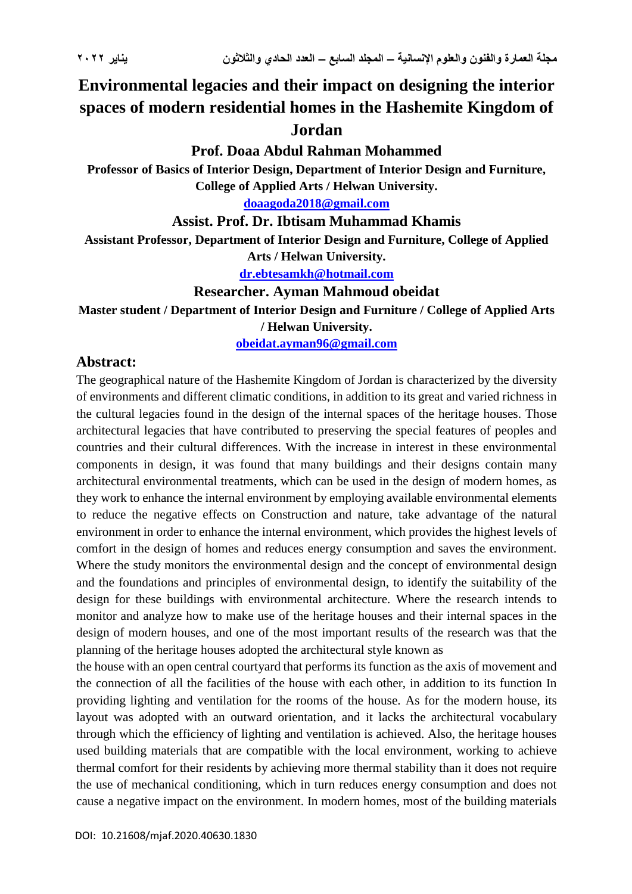# **Environmental legacies and their impact on designing the interior spaces of modern residential homes in the Hashemite Kingdom of Jordan**

### **Prof. Doaa Abdul Rahman Mohammed**

**Professor of Basics of Interior Design, Department of Interior Design and Furniture, College of Applied Arts / Helwan University.**

**[doaagoda2018@gmail.com](mailto:doaagoda2018@gmail.com)**

#### **Assist. Prof. Dr. Ibtisam Muhammad Khamis**

**Assistant Professor, Department of Interior Design and Furniture, College of Applied** 

**Arts / Helwan University.**

**[dr.ebtesamkh@hotmail.com](mailto:dr.ebtesamkh@hotmail.com)**

#### **Researcher. Ayman Mahmoud obeidat**

**Master student / Department of Interior Design and Furniture / College of Applied Arts / Helwan University.**

**[obeidat.ayman96@gmail.com](mailto:obeidat.ayman96@gmail.com)**

#### **Abstract:**

The geographical nature of the Hashemite Kingdom of Jordan is characterized by the diversity of environments and different climatic conditions, in addition to its great and varied richness in the cultural legacies found in the design of the internal spaces of the heritage houses. Those architectural legacies that have contributed to preserving the special features of peoples and countries and their cultural differences. With the increase in interest in these environmental components in design, it was found that many buildings and their designs contain many architectural environmental treatments, which can be used in the design of modern homes, as they work to enhance the internal environment by employing available environmental elements to reduce the negative effects on Construction and nature, take advantage of the natural environment in order to enhance the internal environment, which provides the highest levels of comfort in the design of homes and reduces energy consumption and saves the environment. Where the study monitors the environmental design and the concept of environmental design and the foundations and principles of environmental design, to identify the suitability of the design for these buildings with environmental architecture. Where the research intends to monitor and analyze how to make use of the heritage houses and their internal spaces in the design of modern houses, and one of the most important results of the research was that the planning of the heritage houses adopted the architectural style known as

the house with an open central courtyard that performs its function as the axis of movement and the connection of all the facilities of the house with each other, in addition to its function In providing lighting and ventilation for the rooms of the house. As for the modern house, its layout was adopted with an outward orientation, and it lacks the architectural vocabulary through which the efficiency of lighting and ventilation is achieved. Also, the heritage houses used building materials that are compatible with the local environment, working to achieve thermal comfort for their residents by achieving more thermal stability than it does not require the use of mechanical conditioning, which in turn reduces energy consumption and does not cause a negative impact on the environment. In modern homes, most of the building materials